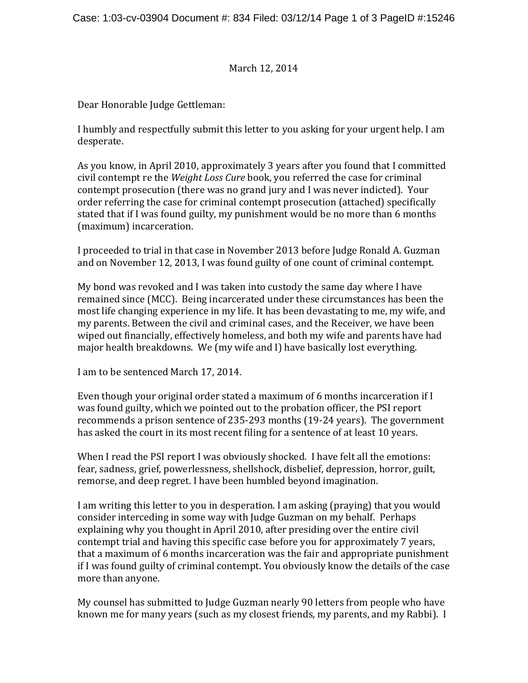March 12, 2014

Dear Honorable Judge Gettleman:

I humbly and respectfully submit this letter to you asking for your urgent help. I am desperate. 

As you know, in April 2010, approximately 3 years after you found that I committed civil contempt re the *Weight Loss Cure* book, you referred the case for criminal contempt prosecution (there was no grand jury and I was never indicted). Your order referring the case for criminal contempt prosecution (attached) specifically stated that if I was found guilty, my punishment would be no more than 6 months (maximum) incarceration.

I proceeded to trial in that case in November 2013 before Judge Ronald A. Guzman and on November 12, 2013, I was found guilty of one count of criminal contempt.

My bond was revoked and I was taken into custody the same day where I have remained since (MCC). Being incarcerated under these circumstances has been the most life changing experience in my life. It has been devastating to me, my wife, and my parents. Between the civil and criminal cases, and the Receiver, we have been wiped out financially, effectively homeless, and both my wife and parents have had major health breakdowns. We (my wife and I) have basically lost everything.

I am to be sentenced March 17, 2014.

Even though your original order stated a maximum of 6 months incarceration if  $I$ was found guilty, which we pointed out to the probation officer, the PSI report recommends a prison sentence of 235-293 months (19-24 years). The government has asked the court in its most recent filing for a sentence of at least 10 years.

When I read the PSI report I was obviously shocked. I have felt all the emotions: fear, sadness, grief, powerlessness, shellshock, disbelief, depression, horror, guilt, remorse, and deep regret. I have been humbled beyond imagination.

I am writing this letter to you in desperation. I am asking (praying) that you would consider interceding in some way with Judge Guzman on my behalf. Perhaps explaining why you thought in April 2010, after presiding over the entire civil contempt trial and having this specific case before you for approximately 7 years, that a maximum of 6 months incarceration was the fair and appropriate punishment if I was found guilty of criminal contempt. You obviously know the details of the case more than anyone.

My counsel has submitted to Judge Guzman nearly 90 letters from people who have known me for many years (such as my closest friends, my parents, and my Rabbi). I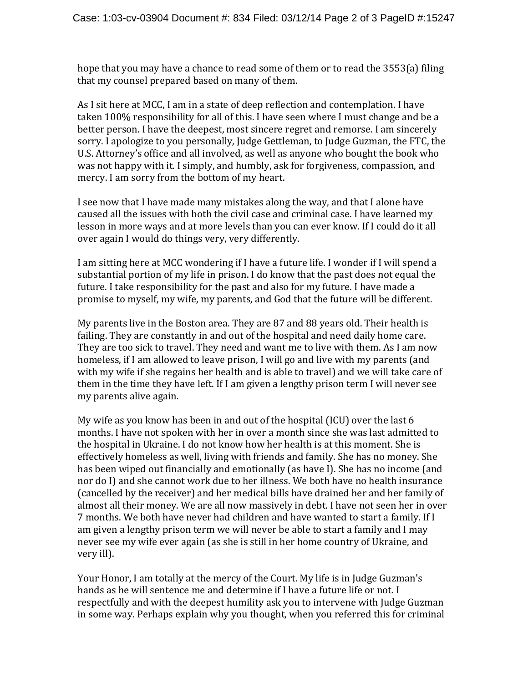hope that you may have a chance to read some of them or to read the  $3553(a)$  filing that my counsel prepared based on many of them.

As I sit here at MCC, I am in a state of deep reflection and contemplation. I have taken 100% responsibility for all of this. I have seen where I must change and be a better person. I have the deepest, most sincere regret and remorse. I am sincerely sorry. I apologize to you personally, Judge Gettleman, to Judge Guzman, the FTC, the U.S. Attorney's office and all involved, as well as anyone who bought the book who was not happy with it. I simply, and humbly, ask for forgiveness, compassion, and mercy. I am sorry from the bottom of my heart.

I see now that I have made many mistakes along the way, and that I alone have caused all the issues with both the civil case and criminal case. I have learned my lesson in more ways and at more levels than you can ever know. If I could do it all over again I would do things very, very differently.

I am sitting here at MCC wondering if I have a future life. I wonder if I will spend a substantial portion of my life in prison. I do know that the past does not equal the future. I take responsibility for the past and also for my future. I have made a promise to myself, my wife, my parents, and God that the future will be different.

My parents live in the Boston area. They are  $87$  and  $88$  years old. Their health is failing. They are constantly in and out of the hospital and need daily home care. They are too sick to travel. They need and want me to live with them. As I am now homeless, if I am allowed to leave prison, I will go and live with my parents (and with my wife if she regains her health and is able to travel) and we will take care of them in the time they have left. If I am given a lengthy prison term I will never see my parents alive again.

My wife as you know has been in and out of the hospital (ICU) over the last  $6$ months. I have not spoken with her in over a month since she was last admitted to the hospital in Ukraine. I do not know how her health is at this moment. She is effectively homeless as well, living with friends and family. She has no money. She has been wiped out financially and emotionally (as have I). She has no income (and nor do I) and she cannot work due to her illness. We both have no health insurance (cancelled by the receiver) and her medical bills have drained her and her family of almost all their money. We are all now massively in debt. I have not seen her in over 7 months. We both have never had children and have wanted to start a family. If I am given a lengthy prison term we will never be able to start a family and I may never see my wife ever again (as she is still in her home country of Ukraine, and very ill).

Your Honor, I am totally at the mercy of the Court. My life is in Judge Guzman's hands as he will sentence me and determine if I have a future life or not. I respectfully and with the deepest humility ask you to intervene with Judge Guzman in some way. Perhaps explain why you thought, when you referred this for criminal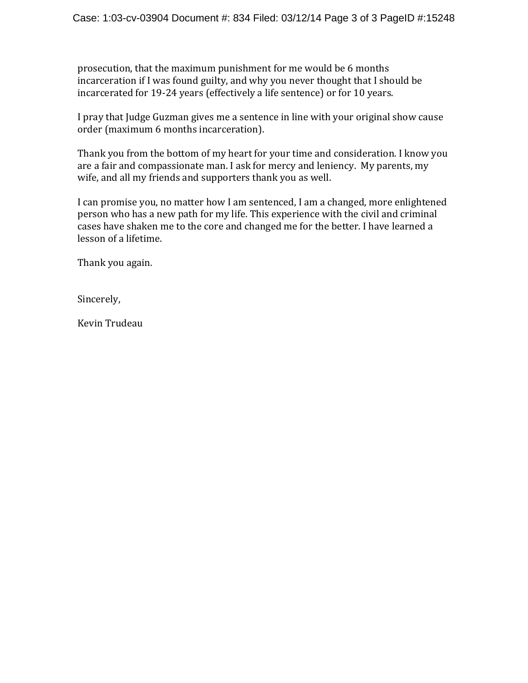prosecution, that the maximum punishment for me would be 6 months incarceration if I was found guilty, and why you never thought that I should be incarcerated for 19-24 years (effectively a life sentence) or for 10 years.

I pray that Judge Guzman gives me a sentence in line with your original show cause order (maximum 6 months incarceration).

Thank you from the bottom of my heart for your time and consideration. I know you are a fair and compassionate man. I ask for mercy and leniency. My parents, my wife, and all my friends and supporters thank you as well.

I can promise you, no matter how I am sentenced, I am a changed, more enlightened person who has a new path for my life. This experience with the civil and criminal cases have shaken me to the core and changed me for the better. I have learned a lesson of a lifetime.

Thank you again.

Sincerely, 

Kevin Trudeau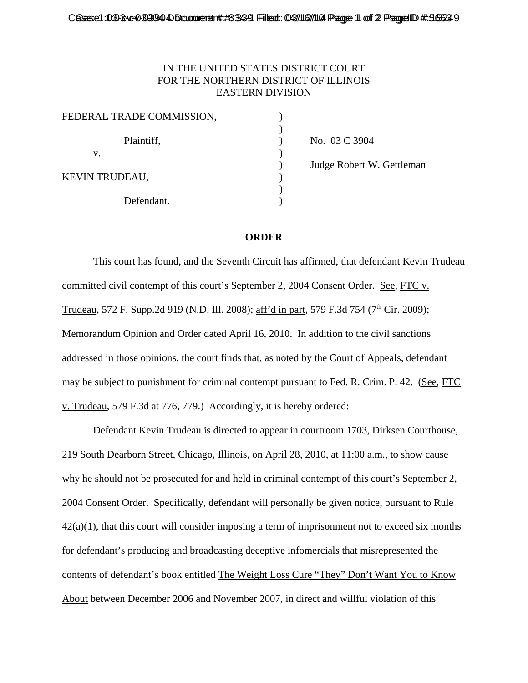## IN THE UNITED STATES DISTRICT COURT FOR THE NORTHERN DISTRICT OF ILLINOIS EASTERN DIVISION

| FEDERAL TRADE COMMISSION, |  |
|---------------------------|--|
| Plaintiff,                |  |
| V.                        |  |
| KEVIN TRUDEAU,            |  |
| Defendant.                |  |

) No. 03 C 3904 ) Judge Robert W. Gettleman

## **ORDER**

This court has found, and the Seventh Circuit has affirmed, that defendant Kevin Trudeau committed civil contempt of this court's September 2, 2004 Consent Order. See, FTC v. Trudeau, 572 F. Supp.2d 919 (N.D. Ill. 2008); aff'd in part, 579 F.3d 754 (7<sup>th</sup> Cir. 2009); Memorandum Opinion and Order dated April 16, 2010. In addition to the civil sanctions addressed in those opinions, the court finds that, as noted by the Court of Appeals, defendant may be subject to punishment for criminal contempt pursuant to Fed. R. Crim. P. 42. (See, FTC v. Trudeau, 579 F.3d at 776, 779.) Accordingly, it is hereby ordered:

Defendant Kevin Trudeau is directed to appear in courtroom 1703, Dirksen Courthouse, 219 South Dearborn Street, Chicago, Illinois, on April 28, 2010, at 11:00 a.m., to show cause why he should not be prosecuted for and held in criminal contempt of this court's September 2, 2004 Consent Order. Specifically, defendant will personally be given notice, pursuant to Rule  $42(a)(1)$ , that this court will consider imposing a term of imprisonment not to exceed six months for defendant's producing and broadcasting deceptive infomercials that misrepresented the contents of defendant's book entitled The Weight Loss Cure "They" Don't Want You to Know About between December 2006 and November 2007, in direct and willful violation of this